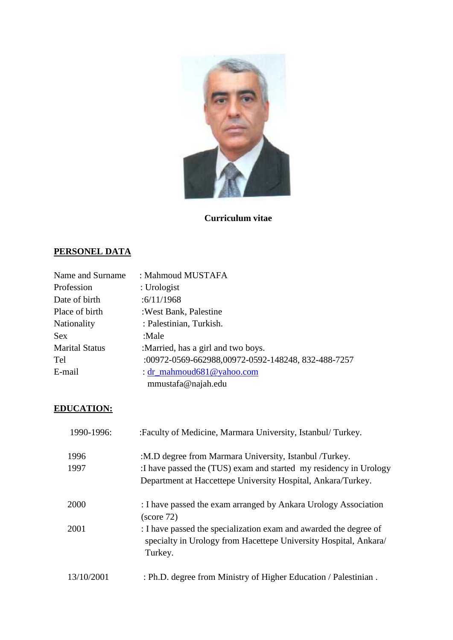

**Curriculum vitae**

# **PERSONEL DATA**

| Name and Surname      | : Mahmoud MUSTAFA                                  |
|-----------------------|----------------------------------------------------|
| Profession            | : Urologist                                        |
| Date of birth         | :6/11/1968                                         |
| Place of birth        | : West Bank, Palestine                             |
| <b>Nationality</b>    | : Palestinian, Turkish.                            |
| <b>Sex</b>            | :Male                                              |
| <b>Marital Status</b> | :Married, has a girl and two boys.                 |
| Tel                   | :00972-0569-662988,00972-0592-148248, 832-488-7257 |
| E-mail                | : $dr$ _mahmoud681@yahoo.com                       |
|                       | mmustafa@najah.edu                                 |

# **EDUCATION:**

| 1990-1996: | :Faculty of Medicine, Marmara University, Istanbul/Turkey.                                                                                      |
|------------|-------------------------------------------------------------------------------------------------------------------------------------------------|
| 1996       | :M.D degree from Marmara University, Istanbul /Turkey.                                                                                          |
| 1997       | : I have passed the (TUS) exam and started my residency in Urology                                                                              |
|            | Department at Haccettepe University Hospital, Ankara/Turkey.                                                                                    |
| 2000       | : I have passed the exam arranged by Ankara Urology Association<br>(score 72)                                                                   |
| 2001       | : I have passed the specialization exam and awarded the degree of<br>specialty in Urology from Hacettepe University Hospital, Ankara<br>Turkey. |
| 13/10/2001 | : Ph.D. degree from Ministry of Higher Education / Palestinian.                                                                                 |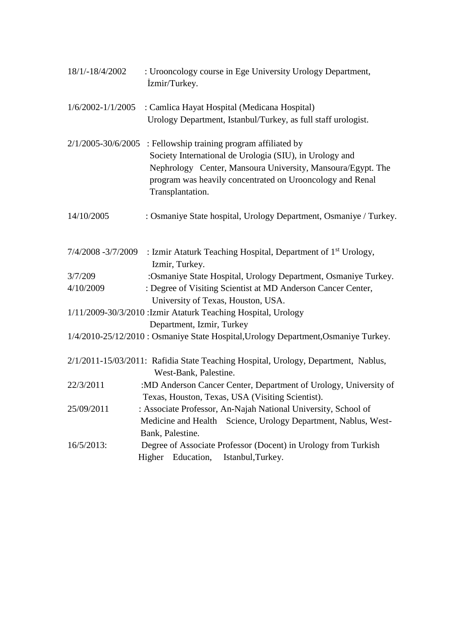| 18/1/-18/4/2002       | : Urooncology course in Ege University Urology Department,<br>zmir/Turkey.          |
|-----------------------|-------------------------------------------------------------------------------------|
| $1/6/2002 - 1/1/2005$ | : Camlica Hayat Hospital (Medicana Hospital)                                        |
|                       | Urology Department, Istanbul/Turkey, as full staff urologist.                       |
| 2/1/2005-30/6/2005    | : Fellowship training program affiliated by                                         |
|                       | Society International de Urologia (SIU), in Urology and                             |
|                       | Nephrology Center, Mansoura University, Mansoura/Egypt. The                         |
|                       | program was heavily concentrated on Urooncology and Renal<br>Transplantation.       |
| 14/10/2005            | : Osmaniye State hospital, Urology Department, Osmaniye / Turkey.                   |
| 7/4/2008 -3/7/2009    | : Izmir Ataturk Teaching Hospital, Department of 1 <sup>st</sup> Urology,           |
|                       | Izmir, Turkey.                                                                      |
| 3/7/209               | :Osmaniye State Hospital, Urology Department, Osmaniye Turkey.                      |
| 4/10/2009             | : Degree of Visiting Scientist at MD Anderson Cancer Center,                        |
|                       | University of Texas, Houston, USA.                                                  |
|                       | 1/11/2009-30/3/2010 : Izmir Ataturk Teaching Hospital, Urology                      |
|                       | Department, Izmir, Turkey                                                           |
|                       | 1/4/2010-25/12/2010 : Osmaniye State Hospital, Urology Department, Osmaniye Turkey. |
|                       | 2/1/2011-15/03/2011: Rafidia State Teaching Hospital, Urology, Department, Nablus,  |
|                       | West-Bank, Palestine.                                                               |
| 22/3/2011             | :MD Anderson Cancer Center, Department of Urology, University of                    |
|                       | Texas, Houston, Texas, USA (Visiting Scientist).                                    |
| 25/09/2011            | : Associate Professor, An-Najah National University, School of                      |
|                       | Medicine and Health Science, Urology Department, Nablus, West-                      |
|                       | Bank, Palestine.                                                                    |
| 16/5/2013:            | Degree of Associate Professor (Docent) in Urology from Turkish                      |
|                       | Higher Education,<br>Istanbul, Turkey.                                              |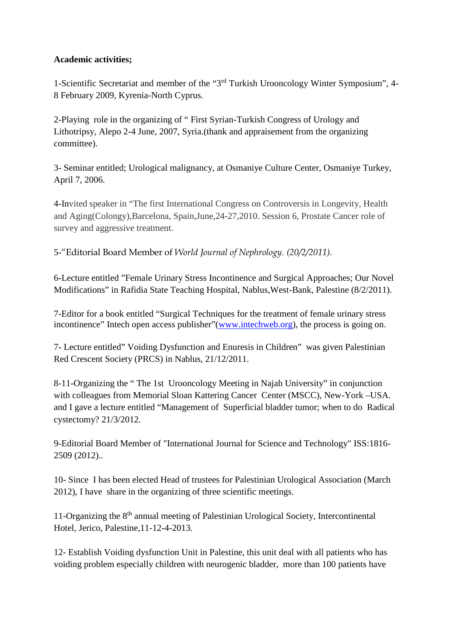# **Academic activities;**

1-Scientific Secretariat and member of the "3rd Turkish Urooncology Winter Symposium", 4- 8 February 2009, Kyrenia-North Cyprus.

2-Playing role in the organizing of " First Syrian-Turkish Congress of Urology and Lithotripsy, Alepo 2-4 June, 2007, Syria.(thank and appraisement from the organizing committee).

3- Seminar entitled; Urological malignancy, at Osmaniye Culture Center, Osmaniye Turkey, April 7, 2006.

4-Invited speaker in "The first International Congress on Controversis in Longevity, Health and Aging(Colongy),Barcelona, Spain,June,24-27,2010. Session 6, Prostate Cancer role of survey and aggressive treatment.

5-"Editorial Board Member of *World Journal of Nephrology. (20/2/2011).*

6-Lecture entitled "Female Urinary Stress Incontinence and Surgical Approaches; Our Novel Modifications" in Rafidia State Teaching Hospital, Nablus,West-Bank, Palestine (8/2/2011).

7-Editor for a book entitled "Surgical Techniques for the treatment of female urinary stress incontinence" Intech open access publisher"(www.intechweb.org), the process is going on.

7- Lecture entitled" Voiding Dysfunction and Enuresis in Children" was given Palestinian Red Crescent Society (PRCS) in Nablus, 21/12/2011.

8-11-Organizing the " The 1st Urooncology Meeting in Najah University" in conjunction with colleagues from Memorial Sloan Kattering Cancer Center (MSCC), New-York –USA. and I gave a lecture entitled "Management of Superficial bladder tumor; when to do Radical cystectomy? 21/3/2012.

9-Editorial Board Member of "International Journal for Science and Technology" ISS:1816- 2509 (2012)..

10- Since I has been elected Head of trustees for Palestinian Urological Association (March 2012), I have share in the organizing of three scientific meetings.

11-Organizing the 8th annual meeting of Palestinian Urological Society, Intercontinental Hotel, Jerico, Palestine,11-12-4-2013.

12- Establish Voiding dysfunction Unit in Palestine, this unit deal with all patients who has voiding problem especially children with neurogenic bladder, more than 100 patients have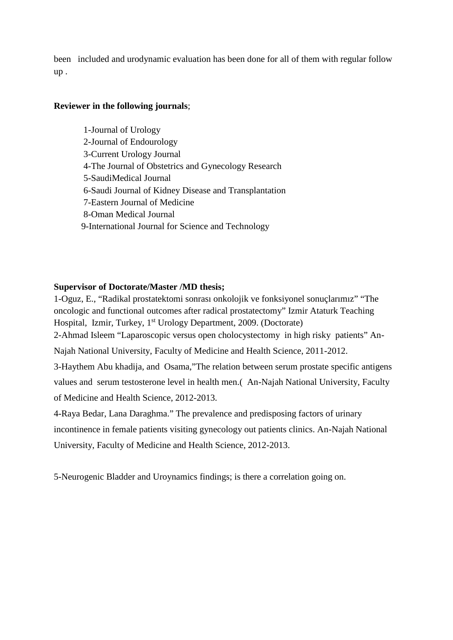been included and urodynamic evaluation has been done for all of them with regular follow up .

## **Reviewer in the following journals**;

1-Journal of Urology 2-Journal of Endourology 3-Current Urology Journal 4-The Journal of Obstetrics and Gynecology Research 5-SaudiMedical Journal 6-Saudi Journal of Kidney Disease and Transplantation 7-Eastern Journal of Medicine 8-Oman Medical Journal 9-International Journal for Science and Technology

#### **Supervisor of Doctorate/Master /MD thesis;**

1-Oguz, E., "Radikal prostatektomi sonrası onkolojik ve fonksiyonel sonuçlarımız" "The oncologic and functional outcomes after radical prostatectomy" Izmir Ataturk Teaching Hospital, Izmir, Turkey, 1<sup>st</sup> Urology Department, 2009. (Doctorate) 2-Ahmad Isleem "Laparoscopic versus open cholocystectomy in high risky patients" An- Najah National University, Faculty of Medicine and Health Science, 2011-2012. 3-Haythem Abu khadija, and Osama,"The relation between serum prostate specific antigens values and serum testosterone level in health men.( An-Najah National University, Faculty of Medicine and Health Science, 2012-2013.

4-Raya Bedar, Lana Daraghma." The prevalence and predisposing factors of urinary incontinence in female patients visiting gynecology out patients clinics. An-Najah National University, Faculty of Medicine and Health Science, 2012-2013.

5-Neurogenic Bladder and Uroynamics findings; is there a correlation going on.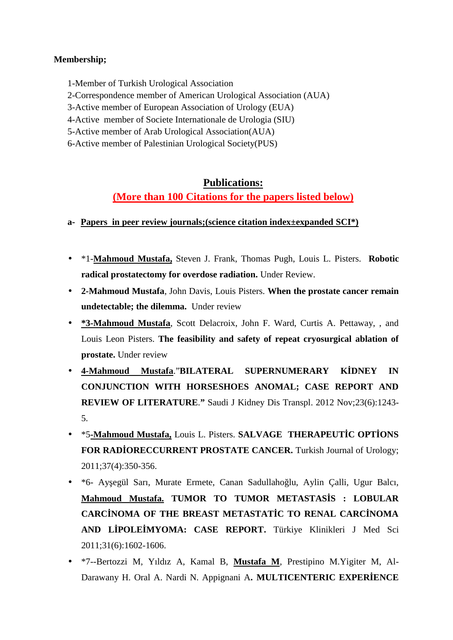## **Membership;**

1-Member of Turkish Urological Association

2-Correspondence member of American Urological Association (AUA)

3-Active member of European Association of Urology (EUA)

4-Active member of Societe Internationale de Urologia (SIU)

5-Active member of Arab Urological Association(AUA)

6-Active member of Palestinian Urological Society(PUS)

# **Publications:**

**(More than 100 Citations for the papers listed below)**

- **a- Papers in peer review journals;(science citation index±expanded SCI\*)**
- \*1-**Mahmoud Mustafa,** Steven J. Frank, Thomas Pugh, Louis L. Pisters. **Robotic radical prostatectomy for overdose radiation.** Under Review.
- **2-Mahmoud Mustafa**, John Davis, Louis Pisters. **When the prostate cancer remain undetectable; the dilemma.** Under review
- **\*3-Mahmoud Mustafa**, Scott Delacroix, John F. Ward, Curtis A. Pettaway, , and Louis Leon Pisters. **The feasibility and safety of repeat cryosurgical ablation of prostate.** Under review
- **4-Mahmoud Mustafa**."**BILATERAL SUPERNUMERARY KİDNEY IN CONJUNCTION WITH HORSESHOES ANOMAL; CASE REPORT AND REVIEW OF LITERATURE**.**"** Saudi J Kidney Dis Transpl. 2012 Nov;23(6):1243- 5.
- \* \*5-Mahmoud Mustafa, Louis L. Pisters. **SALVAGE THERAPEUT C OPT ONS** FOR RAD ORECCURRENT PROSTATE CANCER. Turkish Journal of Urology; 2011;37(4):350-356.
- \*6- Ay egül Sarı, Murate Ermete, Canan Sadullaho lu, Aylin Çalli, Ugur Balcı, **Mahmoud Mustafa. TUMOR TO TUMOR METASTAS S : LOBULAR** CARC NOMA OF THE BREAST METASTAT C TO RENAL CARC NOMA **AND LİPOLEİMYOMA: CASE REPORT.** Türkiye Klinikleri J Med Sci 2011;31(6):1602-1606.
- \*7--Bertozzi M, Yıldız A, Kamal B, **Mustafa M**, Prestipino M.Yigiter M, Al- Darawany H. Oral A. Nardi N. Appignani A. MULTICENTERIC EXPER ENCE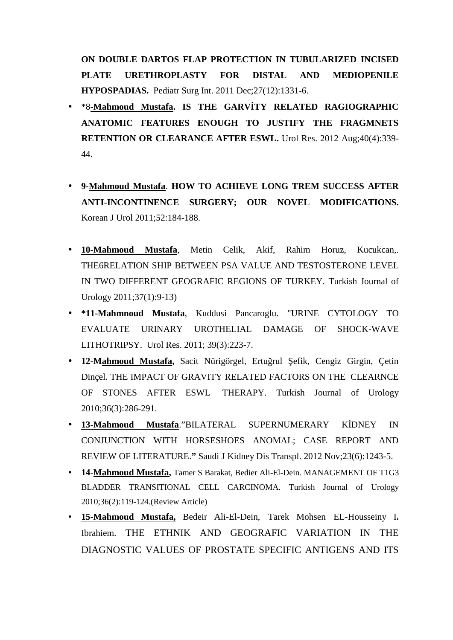**ON DOUBLE DARTOS FLAP PROTECTION IN TUBULARIZED INCISED PLATE URETHROPLASTY FOR DISTAL AND MEDIOPENILE HYPOSPADIAS.** Pediatr Surg Int. 2011 Dec;27(12):1331-6.

- \*8**-Mahmoud Mustafa. IS THE GARVİTY RELATED RAGIOGRAPHIC ANATOMIC FEATURES ENOUGH TO JUSTIFY THE FRAGMNETS RETENTION OR CLEARANCE AFTER ESWL.** Urol Res. 2012 Aug;40(4):339- 44.
- **9-Mahmoud Mustafa**. **HOW TO ACHIEVE LONG TREM SUCCESS AFTER ANTI-INCONTINENCE SURGERY; OUR NOVEL MODIFICATIONS.** Korean J Urol 2011;52:184-188.
- **10-Mahmoud Mustafa**, Metin Celik, Akif, Rahim Horuz, Kucukcan,. THE6RELATION SHIP BETWEEN PSA VALUE AND TESTOSTERONE LEVEL IN TWO DIFFERENT GEOGRAFIC REGIONS OF TURKEY. Turkish Journal of Urology 2011;37(1):9-13)
- **\*11-Mahmnoud Mustafa**, Kuddusi Pancaroglu. "URINE CYTOLOGY TO EVALUATE URINARY UROTHELIAL DAMAGE OF SHOCK-WAVE LITHOTRIPSY. Urol Res. 2011; 39(3):223-7.
- 12-Mahmoud Mustafa, Sacit Nürigörgel, Ertu rul efik, Cengiz Girgin, Çetin Dinçel. THE IMPACT OF GRAVITY RELATED FACTORS ON THE CLEARNCE OF STONES AFTER ESWL THERAPY. Turkish Journal of Urology 2010;36(3):286-291.
- **13-Mahmoud Mustafa**."BILATERAL SUPERNUMERARY KİDNEY IN CONJUNCTION WITH HORSESHOES ANOMAL; CASE REPORT AND REVIEW OF LITERATURE.**"** Saudi J Kidney Dis Transpl. 2012 Nov;23(6):1243-5.
- **14-Mahmoud Mustafa,** Tamer S Barakat, Bedier Ali-El-Dein. MANAGEMENT OF T1G3 BLADDER TRANSITIONAL CELL CARCINOMA. Turkish Journal of Urology 2010;36(2):119-124.(Review Article)
- **15-Mahmoud Mustafa,** Bedeir Ali-El-Dein, Tarek Mohsen EL-Housseiny I**.** Ibrahiem. THE ETHNIK AND GEOGRAFIC VARIATION IN THE DIAGNOSTIC VALUES OF PROSTATE SPECIFIC ANTIGENS AND ITS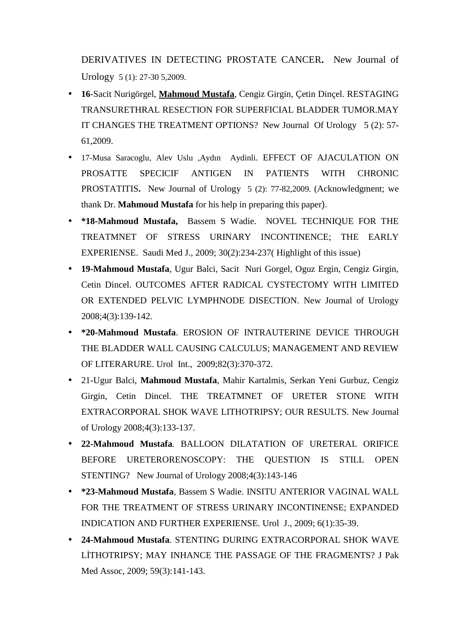DERIVATIVES IN DETECTING PROSTATE CANCER**.** New Journal of Urology 5 (1): 27-30 5,2009.

- **16**-Sacit Nurigörgel, **Mahmoud Mustafa**, Cengiz Girgin, Çetin Dinçel. RESTAGING TRANSURETHRAL RESECTION FOR SUPERFICIAL BLADDER TUMOR.MAY IT CHANGES THE TREATMENT OPTIONS? New Journal Of Urology 5 (2): 57- 61,2009.
- 17-Musa Saracoglu, Alev Uslu ,Aydın Aydinli. EFFECT OF AJACULATION ON PROSATTE SPECICIF ANTIGEN IN PATIENTS WITH CHRONIC PROSTATITIS**.** New Journal of Urology 5 (2): 77-82,2009. (Acknowledgment; we thank Dr. **Mahmoud Mustafa** for his help in preparing this paper).
- **\*18-Mahmoud Mustafa,** Bassem S Wadie. NOVEL TECHNIQUE FOR THE TREATMNET OF STRESS URINARY INCONTINENCE; THE EARLY EXPERIENSE. Saudi Med J., 2009; 30(2):234-237( Highlight of this issue)
- **19-Mahmoud Mustafa**, Ugur Balci, Sacit Nuri Gorgel, Oguz Ergin, Cengiz Girgin, Cetin Dincel. OUTCOMES AFTER RADICAL CYSTECTOMY WITH LIMITED OR EXTENDED PELVIC LYMPHNODE DISECTION. New Journal of Urology 2008;4(3):139-142.
- **\*20-Mahmoud Mustafa**. EROSION OF INTRAUTERINE DEVICE THROUGH THE BLADDER WALL CAUSING CALCULUS; MANAGEMENT AND REVIEW OF LITERARURE. Urol Int., 2009;82(3):370-372.
- 21-Ugur Balci, **Mahmoud Mustafa**, Mahir Kartalmis, Serkan Yeni Gurbuz, Cengiz Girgin, Cetin Dincel. THE TREATMNET OF URETER STONE WITH EXTRACORPORAL SHOK WAVE LITHOTRIPSY; OUR RESULTS. New Journal of Urology 2008;4(3):133-137.
- **22-Mahmoud Mustafa***.* BALLOON DILATATION OF URETERAL ORIFICE BEFORE URETERORENOSCOPY: THE QUESTION IS STILL OPEN STENTING? New Journal of Urology 2008;4(3):143-146
- **\*23-Mahmoud Mustafa**, Bassem S Wadie. INSITU ANTERIOR VAGINAL WALL FOR THE TREATMENT OF STRESS URINARY INCONTINENSE; EXPANDED INDICATION AND FURTHER EXPERIENSE. Urol J., 2009; 6(1):35-39.
- **24-Mahmoud Mustafa**. STENTING DURING EXTRACORPORAL SHOK WAVE LİTHOTRIPSY; MAY INHANCE THE PASSAGE OF THE FRAGMENTS? J Pak Med Assoc, 2009; 59(3):141-143.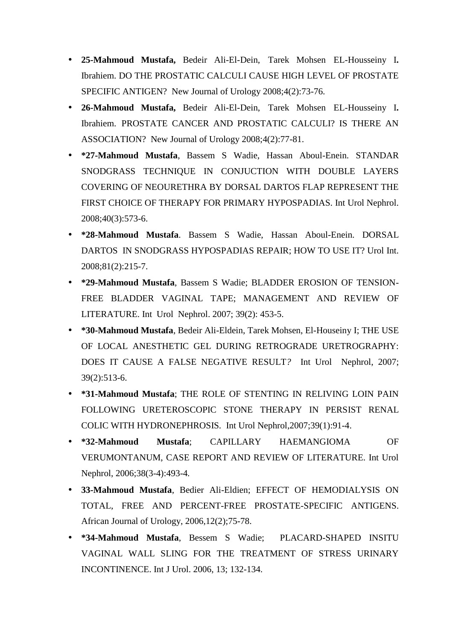- **25-Mahmoud Mustafa,** Bedeir Ali-El-Dein, Tarek Mohsen EL-Housseiny I**.** Ibrahiem. DO THE PROSTATIC CALCULI CAUSE HIGH LEVEL OF PROSTATE SPECIFIC ANTIGEN? New Journal of Urology 2008;4(2):73-76.
- **26-Mahmoud Mustafa,** Bedeir Ali-El-Dein, Tarek Mohsen EL-Housseiny I**.** Ibrahiem. PROSTATE CANCER AND PROSTATIC CALCULI? IS THERE AN ASSOCIATION? New Journal of Urology 2008;4(2):77-81.
- **\*27-Mahmoud Mustafa**, Bassem S Wadie, Hassan Aboul-Enein. STANDAR SNODGRASS TECHNIQUE IN CONJUCTION WITH DOUBLE LAYERS COVERING OF NEOURETHRA BY DORSAL DARTOS FLAP REPRESENT THE FIRST CHOICE OF THERAPY FOR PRIMARY HYPOSPADIAS. Int Urol Nephrol. 2008;40(3):573-6.
- **\*28-Mahmoud Mustafa**. Bassem S Wadie, Hassan Aboul-Enein. DORSAL DARTOS IN SNODGRASS HYPOSPADIAS REPAIR; HOW TO USE IT? Urol Int. 2008;81(2):215-7.
- **\*29-Mahmoud Mustafa**, Bassem S Wadie; BLADDER EROSION OF TENSION- FREE BLADDER VAGINAL TAPE; MANAGEMENT AND REVIEW OF LITERATURE. Int Urol Nephrol. 2007; 39(2): 453-5.
- **\*30-Mahmoud Mustafa**, Bedeir Ali-Eldein, Tarek Mohsen, El-Houseiny I; THE USE OF LOCAL ANESTHETIC GEL DURING RETROGRADE URETROGRAPHY: DOES IT CAUSE A FALSE NEGATIVE RESULT*?* Int Urol Nephrol, 2007; 39(2):513-6.
- **\*31-Mahmoud Mustafa**; THE ROLE OF STENTING IN RELIVING LOIN PAIN FOLLOWING URETEROSCOPIC STONE THERAPY IN PERSIST RENAL COLIC WITH HYDRONEPHROSIS*.* Int Urol Nephrol,2007;39(1):91-4.
- **\*32-Mahmoud Mustafa**; CAPILLARY HAEMANGIOMA OF VERUMONTANUM, CASE REPORT AND REVIEW OF LITERATURE. Int Urol Nephrol, 2006;38(3-4):493-4*.*
- **33-Mahmoud Mustafa**, Bedier Ali-Eldien; EFFECT OF HEMODIALYSIS ON TOTAL, FREE AND PERCENT-FREE PROSTATE-SPECIFIC ANTIGENS. African Journal of Urology, 2006,12(2);75-78.
- **\*34-Mahmoud Mustafa**, Bessem S Wadie; PLACARD-SHAPED INSITU VAGINAL WALL SLING FOR THE TREATMENT OF STRESS URINARY INCONTINENCE. Int J Urol. 2006, 13; 132-134.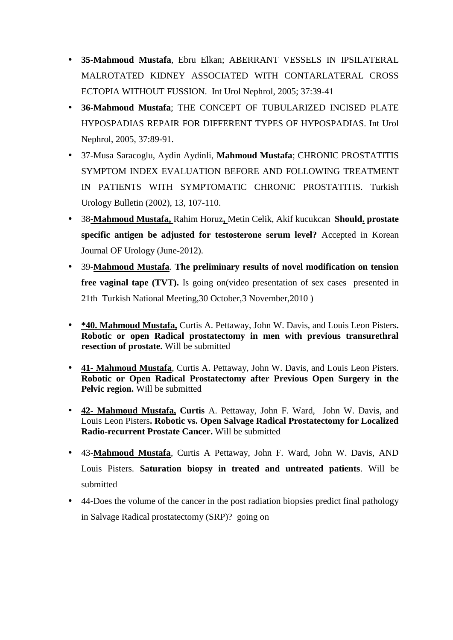- **35-Mahmoud Mustafa**, Ebru Elkan; ABERRANT VESSELS IN IPSILATERAL MALROTATED KIDNEY ASSOCIATED WITH CONTARLATERAL CROSS ECTOPIA WITHOUT FUSSION. Int Urol Nephrol, 2005; 37:39-41
- **36-Mahmoud Mustafa**; THE CONCEPT OF TUBULARIZED INCISED PLATE HYPOSPADIAS REPAIR FOR DIFFERENT TYPES OF HYPOSPADIAS. Int Urol Nephrol, 2005, 37:89-91.
- 37-Musa Saracoglu, Aydin Aydinli, **Mahmoud Mustafa**; CHRONIC PROSTATITIS SYMPTOM INDEX EVALUATION BEFORE AND FOLLOWING TREATMENT IN PATIENTS WITH SYMPTOMATIC CHRONIC PROSTATITIS. Turkish Urology Bulletin (2002), 13, 107-110.
- 38**-Mahmoud Mustafa,** Rahim Horuz**,** Metin Celik, Akif kucukcan **Should. prostate specific antigen be adjusted for testosterone serum level?** Accepted in Korean Journal OF Urology (June-2012).
- 39-**Mahmoud Mustafa**. **The preliminary results of novel modification on tension free vaginal tape (TVT).** Is going on (video presentation of sex cases presented in 21th Turkish National Meeting,30 October,3 November,2010 )
- **\*40. Mahmoud Mustafa,** Curtis A. Pettaway, John W. Davis, and Louis Leon Pisters**. Robotic or open Radical prostatectomy in men with previous transurethral resection of prostate.** Will be submitted
- **41- Mahmoud Mustafa**, Curtis A. Pettaway, John W. Davis, and Louis Leon Pisters. **Robotic or Open Radical Prostatectomy after Previous Open Surgery in the Pelvic region.** Will be submitted
- **42- Mahmoud Mustafa, Curtis** A. Pettaway, John F. Ward, John W. Davis, and Louis Leon Pisters**. Robotic vs. Open Salvage Radical Prostatectomy for Localized Radio-recurrent Prostate Cancer.** Will be submitted
- 43-**Mahmoud Mustafa**, Curtis A Pettaway, John F. Ward, John W. Davis, AND Louis Pisters. **Saturation biopsy in treated and untreated patients**. Will be submitted
- 44-Does the volume of the cancer in the post radiation biopsies predict final pathology in Salvage Radical prostatectomy (SRP)? going on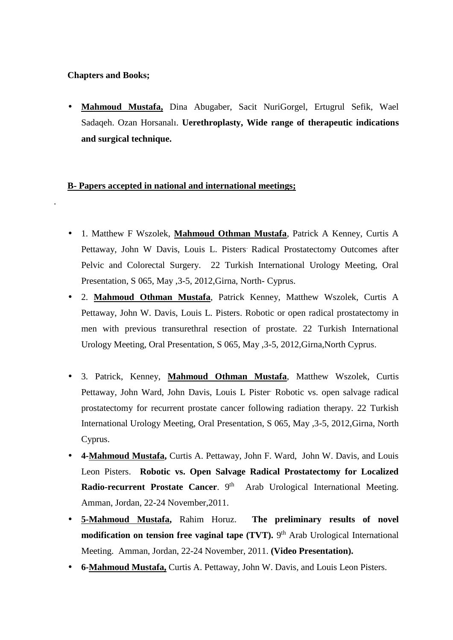## **Chapters and Books;**

.

 **Mahmoud Mustafa,** Dina Abugaber, Sacit NuriGorgel, Ertugrul Sefik, Wael Sadaqeh. Ozan Horsanalı. **Uerethroplasty, Wide range of therapeutic indications and surgical technique.**

## **B- Papers accepted in national and international meetings;**

- 1. Matthew F Wszolek, **Mahmoud Othman Mustafa**, Patrick A Kenney, Curtis A Pettaway, John W Davis, Louis L. Pisters. Radical Prostatectomy Outcomes after Pelvic and Colorectal Surgery. 22 Turkish International Urology Meeting, Oral Presentation, S 065, May ,3-5, 2012,Girna, North- Cyprus.
- 2. **Mahmoud Othman Mustafa**, Patrick Kenney, Matthew Wszolek, Curtis A Pettaway, John W. Davis, Louis L. Pisters. Robotic or open radical prostatectomy in men with previous transurethral resection of prostate. 22 Turkish International Urology Meeting, Oral Presentation, S 065, May ,3-5, 2012,Girna,North Cyprus.
- 3. Patrick, Kenney, **Mahmoud Othman Mustafa**, Matthew Wszolek, Curtis Pettaway, John Ward, John Davis, Louis L Pister. Robotic vs. open salvage radical prostatectomy for recurrent prostate cancer following radiation therapy. 22 Turkish International Urology Meeting, Oral Presentation, S 065, May ,3-5, 2012,Girna, North Cyprus.
- **4-Mahmoud Mustafa,** Curtis A. Pettaway, John F. Ward, John W. Davis, and Louis Leon Pisters. **Robotic vs. Open Salvage Radical Prostatectomy for Localized Radio-recurrent Prostate Cancer**. 9 Arab Urological International Meeting. Amman, Jordan, 22-24 November,2011.
- **5-Mahmoud Mustafa,** Rahim Horuz. **The preliminary results of novel modification on tension free vaginal tape (TVT).** 9<sup>th</sup> Arab Urological International Meeting. Amman, Jordan, 22-24 November, 2011. **(Video Presentation).**
- **6-Mahmoud Mustafa,** Curtis A. Pettaway, John W. Davis, and Louis Leon Pisters.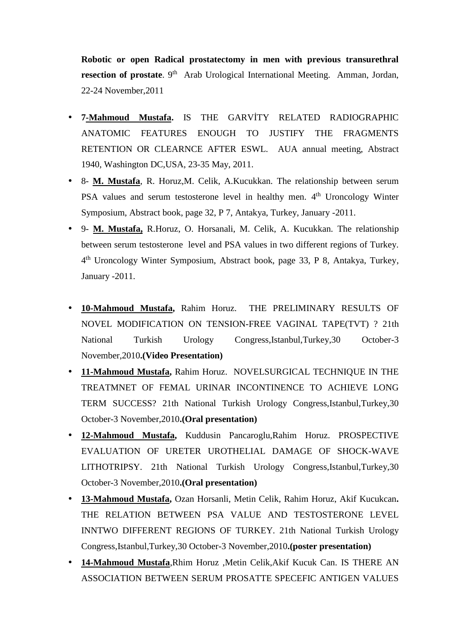**Robotic or open Radical prostatectomy in men with previous transurethral resection of prostate**. 9<sup>th</sup> Arab Urological International Meeting. Amman, Jordan, 22-24 November,2011

- $\bullet$  7-Mahmoud Mustafa. IS THE GARVIY RELATED RADIOGRAPHIC ANATOMIC FEATURES ENOUGH TO JUSTIFY THE FRAGMENTS RETENTION OR CLEARNCE AFTER ESWL. AUA annual meeting, Abstract 1940, Washington DC,USA, 23-35 May, 2011.
- 8- **M. Mustafa**, R. Horuz,M. Celik, A.Kucukkan. The relationship between serum PSA values and serum testosterone level in healthy men. 4<sup>th</sup> Uroncology Winter Symposium, Abstract book, page 32, P 7, Antakya, Turkey, January -2011.
- 9- **M. Mustafa,** R.Horuz, O. Horsanali, M. Celik, A. Kucukkan. The relationship between serum testosterone level and PSA values in two different regions of Turkey. 4 th Uroncology Winter Symposium, Abstract book, page 33, P 8, Antakya, Turkey, January -2011.
- **10-Mahmoud Mustafa,** Rahim Horuz. THE PRELIMINARY RESULTS OF NOVEL MODIFICATION ON TENSION-FREE VAGINAL TAPE(TVT) ? 21th National Turkish Urology Congress,Istanbul,Turkey,30 October-3 November,2010**.(Video Presentation)**
- **11-Mahmoud Mustafa,** Rahim Horuz. NOVELSURGICAL TECHNIQUE IN THE TREATMNET OF FEMAL URINAR INCONTINENCE TO ACHIEVE LONG TERM SUCCESS? 21th National Turkish Urology Congress,Istanbul,Turkey,30 October-3 November,2010**.(Oral presentation)**
- **12-Mahmoud Mustafa,** Kuddusin Pancaroglu,Rahim Horuz. PROSPECTIVE EVALUATION OF URETER UROTHELIAL DAMAGE OF SHOCK-WAVE LITHOTRIPSY. 21th National Turkish Urology Congress,Istanbul,Turkey,30 October-3 November,2010**.(Oral presentation)**
- **13-Mahmoud Mustafa,** Ozan Horsanli, Metin Celik, Rahim Horuz, Akif Kucukcan**.** THE RELATION BETWEEN PSA VALUE AND TESTOSTERONE LEVEL INNTWO DIFFERENT REGIONS OF TURKEY. 21th National Turkish Urology Congress,Istanbul,Turkey,30 October-3 November,2010**.(poster presentation)**
- **14-Mahmoud Mustafa**,Rhim Horuz ,Metin Celik,Akif Kucuk Can. IS THERE AN ASSOCIATION BETWEEN SERUM PROSATTE SPECEFIC ANTIGEN VALUES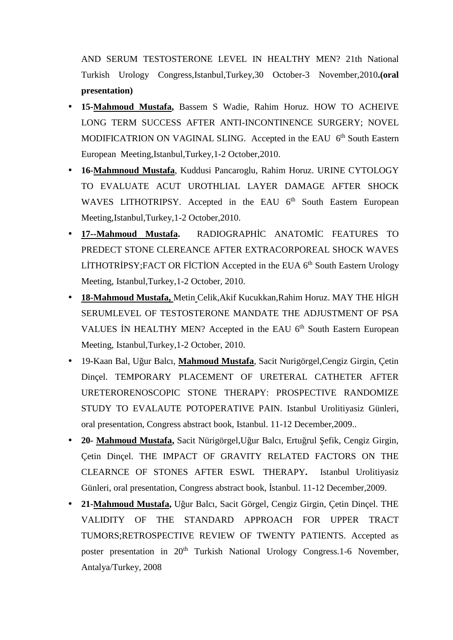AND SERUM TESTOSTERONE LEVEL IN HEALTHY MEN? 21th National Turkish Urology Congress,Istanbul,Turkey,30 October-3 November,2010**.(oral presentation)**

- **15-Mahmoud Mustafa,** Bassem S Wadie, Rahim Horuz. HOW TO ACHEIVE LONG TERM SUCCESS AFTER ANTI-INCONTINENCE SURGERY; NOVEL MODIFICATRION ON VAGINAL SLING. Accepted in the EAU 6<sup>th</sup> South Eastern European Meeting,Istanbul,Turkey,1-2 October,2010.
- **16-Mahmnoud Mustafa**, Kuddusi Pancaroglu, Rahim Horuz. URINE CYTOLOGY TO EVALUATE ACUT UROTHLIAL LAYER DAMAGE AFTER SHOCK WAVES LITHOTRIPSY. Accepted in the EAU 6<sup>th</sup> South Eastern European Meeting,Istanbul,Turkey,1-2 October,2010.
- 17--Mahmoud Mustafa. RADIOGRAPH C ANATOM C FEATURES TO PREDECT STONE CLEREANCE AFTER EXTRACORPOREAL SHOCK WAVES L THOTR PSY;FACT OR F CT ON Accepted in the EUA 6<sup>th</sup> South Eastern Urology Meeting, Istanbul,Turkey,1-2 October, 2010.
- 18-Mahmoud Mustafa, Metin Celik, Akif Kucukkan, Rahim Horuz. MAY THE H GH SERUMLEVEL OF TESTOSTERONE MANDATE THE ADJUSTMENT OF PSA VALUES N HEALTHY MEN? Accepted in the EAU 6<sup>th</sup> South Eastern European Meeting, Istanbul,Turkey,1-2 October, 2010.
- 19-Kaan Bal, Uğur Balcı, **Mahmoud Mustafa**, Sacit Nurigörgel,Cengiz Girgin, Çetin Dinçel. TEMPORARY PLACEMENT OF URETERAL CATHETER AFTER URETERORENOSCOPIC STONE THERAPY: PROSPECTIVE RANDOMIZE STUDY TO EVALAUTE POTOPERATIVE PAIN. Istanbul Urolitiyasiz Günleri, oral presentation, Congress abstract book, Istanbul. 11-12 December,2009..
- **20-** Mahmoud Mustafa, Sacit Nürigörgel, U ur Balcı, Ertu rul efik, Cengiz Girgin, Çetin Dinçel. THE IMPACT OF GRAVITY RELATED FACTORS ON THE CLEARNCE OF STONES AFTER ESWL THERAPY**.** Istanbul Urolitiyasiz Günleri, oral presentation, Congress abstract book, stanbul. 11-12 December, 2009.
- **21-Mahmoud Mustafa,** Uğur Balcı, Sacit Görgel, Cengiz Girgin, Çetin Dinçel. THE VALIDITY OF THE STANDARD APPROACH FOR UPPER TRACT TUMORS;RETROSPECTIVE REVIEW OF TWENTY PATIENTS. Accepted as poster presentation in 20<sup>th</sup> Turkish National Urology Congress.1-6 November, Antalya/Turkey, 2008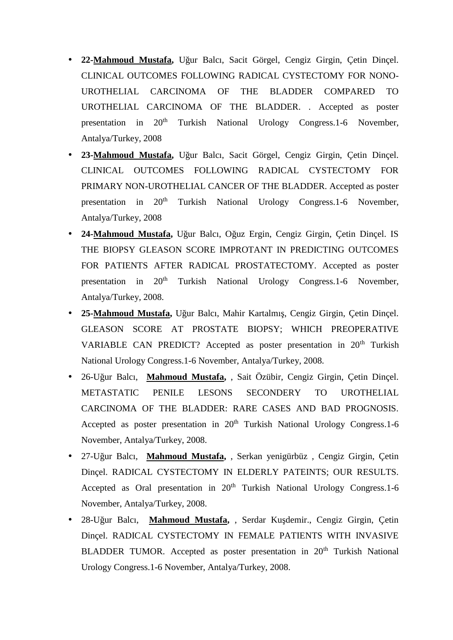- **22-Mahmoud Mustafa,** Uğur Balcı, Sacit Görgel, Cengiz Girgin, Çetin Dinçel. CLINICAL OUTCOMES FOLLOWING RADICAL CYSTECTOMY FOR NONO- UROTHELIAL CARCINOMA OF THE BLADDER COMPARED TO UROTHELIAL CARCINOMA OF THE BLADDER. . Accepted as poster presentation in 20<sup>th</sup> Turkish National Urology Congress.1-6 November, Antalya/Turkey, 2008
- **23-Mahmoud Mustafa,** Uğur Balcı, Sacit Görgel, Cengiz Girgin, Çetin Dinçel. CLINICAL OUTCOMES FOLLOWING RADICAL CYSTECTOMY FOR PRIMARY NON-UROTHELIAL CANCER OF THE BLADDER. Accepted as poster presentation in 20<sup>th</sup> Turkish National Urology Congress.1-6 November, Antalya/Turkey, 2008
- 24-Mahmoud Mustafa, U ur Balcı, O uz Ergin, Cengiz Girgin, Çetin Dinçel. IS THE BIOPSY GLEASON SCORE IMPROTANT IN PREDICTING OUTCOMES FOR PATIENTS AFTER RADICAL PROSTATECTOMY. Accepted as poster presentation in 20<sup>th</sup> Turkish National Urology Congress.1-6 November, Antalya/Turkey, 2008.
- 25-Mahmoud Mustafa, U ur Balcı, Mahir Kartalmı, Cengiz Girgin, Cetin Dincel. GLEASON SCORE AT PROSTATE BIOPSY; WHICH PREOPERATIVE VARIABLE CAN PREDICT? Accepted as poster presentation in 20<sup>th</sup> Turkish National Urology Congress.1-6 November, Antalya/Turkey, 2008.
- 26-Uğur Balcı, **Mahmoud Mustafa,** , Sait Özübir, Cengiz Girgin, Çetin Dinçel. METASTATIC PENILE LESONS SECONDERY TO UROTHELIAL CARCINOMA OF THE BLADDER: RARE CASES AND BAD PROGNOSIS. Accepted as poster presentation in  $20<sup>th</sup>$  Turkish National Urology Congress.1-6 November, Antalya/Turkey, 2008.
- 27-Uğur Balcı, **Mahmoud Mustafa,** , Serkan yenigürbüz , Cengiz Girgin, Çetin Dinçel. RADICAL CYSTECTOMY IN ELDERLY PATEINTS; OUR RESULTS. Accepted as Oral presentation in  $20<sup>th</sup>$  Turkish National Urology Congress.1-6 November, Antalya/Turkey, 2008.
- 28-U ur Balcı, Mahmoud Mustafa, , Serdar Ku demir., Cengiz Girgin, Cetin Dinçel. RADICAL CYSTECTOMY IN FEMALE PATIENTS WITH INVASIVE BLADDER TUMOR. Accepted as poster presentation in 20<sup>th</sup> Turkish National Urology Congress.1-6 November, Antalya/Turkey, 2008.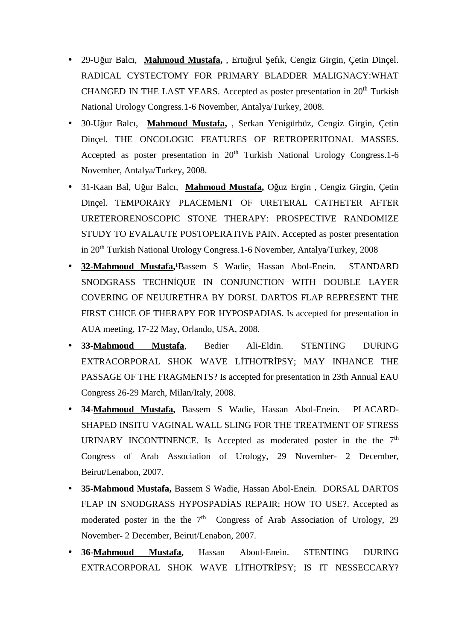- <sup>o</sup> 29-U ur Balcı, Mahmoud Mustafa, , Ertu rul efık, Cengiz Girgin, Çetin Dinçel. RADICAL CYSTECTOMY FOR PRIMARY BLADDER MALIGNACY:WHAT CHANGED IN THE LAST YEARS. Accepted as poster presentation in  $20<sup>th</sup>$  Turkish National Urology Congress.1-6 November, Antalya/Turkey, 2008.
- 30-Uğur Balcı, **Mahmoud Mustafa,** , Serkan Yenigürbüz, Cengiz Girgin, Çetin Dinçel. THE ONCOLOGIC FEATURES OF RETROPERITONAL MASSES. Accepted as poster presentation in  $20<sup>th</sup>$  Turkish National Urology Congress.1-6 November, Antalya/Turkey, 2008.
- 31-Kaan Bal, U ur Balcı, Mahmoud Mustafa, O uz Ergin , Cengiz Girgin, Çetin Dinçel. TEMPORARY PLACEMENT OF URETERAL CATHETER AFTER URETERORENOSCOPIC STONE THERAPY: PROSPECTIVE RANDOMIZE STUDY TO EVALAUTE POSTOPERATIVE PAIN. Accepted as poster presentation in 20th Turkish National Urology Congress.1-6 November, Antalya/Turkey, 2008
- 32-Mahmoud Mustafa,<sup>1</sup>Bassem S Wadie, Hassan Abol-Enein. STANDARD SNODGRASS TECHN QUE IN CONJUNCTION WITH DOUBLE LAYER COVERING OF NEUURETHRA BY DORSL DARTOS FLAP REPRESENT THE FIRST CHICE OF THERAPY FOR HYPOSPADIAS. Is accepted for presentation in AUA meeting, 17-22 May, Orlando, USA, 2008.
- **33-Mahmoud Mustafa**, Bedier Ali-Eldin. STENTING DURING EXTRACORPORAL SHOK WAVE L THOTR PSY; MAY INHANCE THE PASSAGE OF THE FRAGMENTS? Is accepted for presentation in 23th Annual EAU Congress 26-29 March, Milan/Italy, 2008.
- **34-Mahmoud Mustafa,** Bassem S Wadie, Hassan Abol-Enein. PLACARD- SHAPED INSITU VAGINAL WALL SLING FOR THE TREATMENT OF STRESS URINARY INCONTINENCE. Is Accepted as moderated poster in the the  $7<sup>th</sup>$ Congress of Arab Association of Urology, 29 November- 2 December, Beirut/Lenabon, 2007.
- **35-Mahmoud Mustafa,** Bassem S Wadie, Hassan Abol-Enein. DORSAL DARTOS FLAP IN SNODGRASS HYPOSPAD AS REPAIR; HOW TO USE?. Accepted as moderated poster in the the  $7<sup>th</sup>$  Congress of Arab Association of Urology, 29 November- 2 December, Beirut/Lenabon, 2007.
- **36-Mahmoud Mustafa,** Hassan Aboul-Enein. STENTING DURING EXTRACORPORAL SHOK WAVE L THOTR PSY; IS IT NESSECCARY?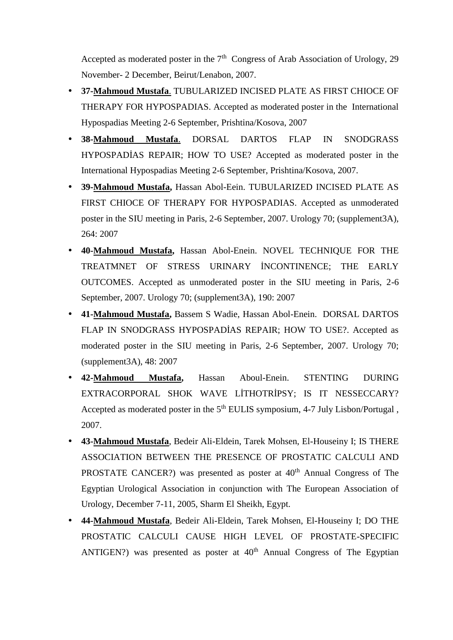Accepted as moderated poster in the  $7<sup>th</sup>$  Congress of Arab Association of Urology, 29 November- 2 December, Beirut/Lenabon, 2007.

- **37-Mahmoud Mustafa**. TUBULARIZED INCISED PLATE AS FIRST CHIOCE OF THERAPY FOR HYPOSPADIAS. Accepted as moderated poster in the International Hypospadias Meeting 2-6 September, Prishtina/Kosova, 2007
- **38-Mahmoud Mustafa**. DORSAL DARTOS FLAP IN SNODGRASS HYPOSPAD AS REPAIR; HOW TO USE? Accepted as moderated poster in the International Hypospadias Meeting 2-6 September, Prishtina/Kosova, 2007.
- **39-Mahmoud Mustafa,** Hassan Abol-Eein. TUBULARIZED INCISED PLATE AS FIRST CHIOCE OF THERAPY FOR HYPOSPADIAS. Accepted as unmoderated poster in the SIU meeting in Paris, 2-6 September, 2007. Urology 70; (supplement3A), 264: 2007
- **40-Mahmoud Mustafa,** Hassan Abol-Enein. NOVEL TECHNIQUE FOR THE TREATMNET OF STRESS URINARY NCONTINENCE; THE EARLY OUTCOMES. Accepted as unmoderated poster in the SIU meeting in Paris, 2-6 September, 2007. Urology 70; (supplement3A), 190: 2007
- **41-Mahmoud Mustafa,** Bassem S Wadie, Hassan Abol-Enein. DORSAL DARTOS FLAP IN SNODGRASS HYPOSPAD AS REPAIR; HOW TO USE?. Accepted as moderated poster in the SIU meeting in Paris, 2-6 September, 2007. Urology 70; (supplement3A), 48: 2007
- **42-Mahmoud Mustafa,** Hassan Aboul-Enein. STENTING DURING EXTRACORPORAL SHOK WAVE L THOTR PSY; IS IT NESSECCARY? Accepted as moderated poster in the 5<sup>th</sup> EULIS symposium, 4-7 July Lisbon/Portugal, 2007.
- **43-Mahmoud Mustafa**, Bedeir Ali-Eldein, Tarek Mohsen, El-Houseiny I; IS THERE ASSOCIATION BETWEEN THE PRESENCE OF PROSTATIC CALCULI AND PROSTATE CANCER?) was presented as poster at  $40<sup>th</sup>$  Annual Congress of The Egyptian Urological Association in conjunction with The European Association of Urology, December 7-11, 2005, Sharm El Sheikh, Egypt.
- **44-Mahmoud Mustafa**, Bedeir Ali-Eldein, Tarek Mohsen, El-Houseiny I; DO THE PROSTATIC CALCULI CAUSE HIGH LEVEL OF PROSTATE-SPECIFIC ANTIGEN?) was presented as poster at  $40<sup>th</sup>$  Annual Congress of The Egyptian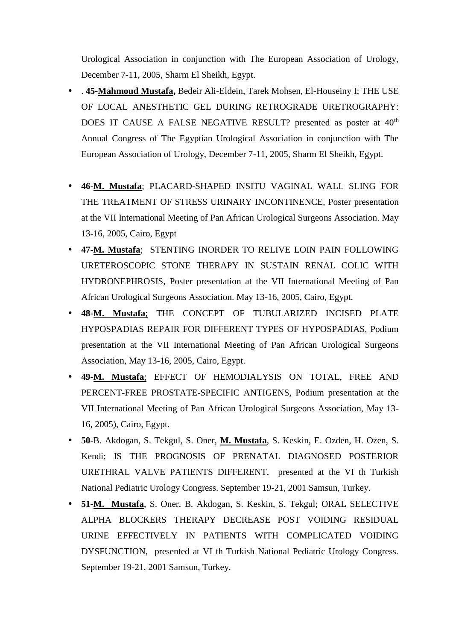Urological Association in conjunction with The European Association of Urology, December 7-11, 2005, Sharm El Sheikh, Egypt.

- . **45-Mahmoud Mustafa,** Bedeir Ali-Eldein, Tarek Mohsen, El-Houseiny I; THE USE OF LOCAL ANESTHETIC GEL DURING RETROGRADE URETROGRAPHY: DOES IT CAUSE A FALSE NEGATIVE RESULT? presented as poster at 40<sup>th</sup> Annual Congress of The Egyptian Urological Association in conjunction with The European Association of Urology, December 7-11, 2005, Sharm El Sheikh, Egypt.
- **46-M. Mustafa**; PLACARD-SHAPED INSITU VAGINAL WALL SLING FOR THE TREATMENT OF STRESS URINARY INCONTINENCE, Poster presentation at the VII International Meeting of Pan African Urological Surgeons Association. May 13-16, 2005, Cairo, Egypt
- **47-M. Mustafa**; STENTING INORDER TO RELIVE LOIN PAIN FOLLOWING URETEROSCOPIC STONE THERAPY IN SUSTAIN RENAL COLIC WITH HYDRONEPHROSIS, Poster presentation at the VII International Meeting of Pan African Urological Surgeons Association. May 13-16, 2005, Cairo, Egypt.
- **48-M. Mustafa**; THE CONCEPT OF TUBULARIZED INCISED PLATE HYPOSPADIAS REPAIR FOR DIFFERENT TYPES OF HYPOSPADIAS, Podium presentation at the VII International Meeting of Pan African Urological Surgeons Association, May 13-16, 2005, Cairo, Egypt.
- **49-M. Mustafa**; EFFECT OF HEMODIALYSIS ON TOTAL, FREE AND PERCENT-FREE PROSTATE-SPECIFIC ANTIGENS, Podium presentation at the VII International Meeting of Pan African Urological Surgeons Association, May 13- 16, 2005), Cairo, Egypt.
- **50**-B. Akdogan, S. Tekgul, S. Oner, **M. Mustafa**, S. Keskin, E. Ozden, H. Ozen, S. Kendi; IS THE PROGNOSIS OF PRENATAL DIAGNOSED POSTERIOR URETHRAL VALVE PATIENTS DIFFERENT, presented at the VI th Turkish National Pediatric Urology Congress. September 19-21, 2001 Samsun, Turkey.
- **51-M. Mustafa**, S. Oner, B. Akdogan, S. Keskin, S. Tekgul; ORAL SELECTIVE ALPHA BLOCKERS THERAPY DECREASE POST VOIDING RESIDUAL URINE EFFECTIVELY IN PATIENTS WITH COMPLICATED VOIDING DYSFUNCTION, presented at VI th Turkish National Pediatric Urology Congress. September 19-21, 2001 Samsun, Turkey.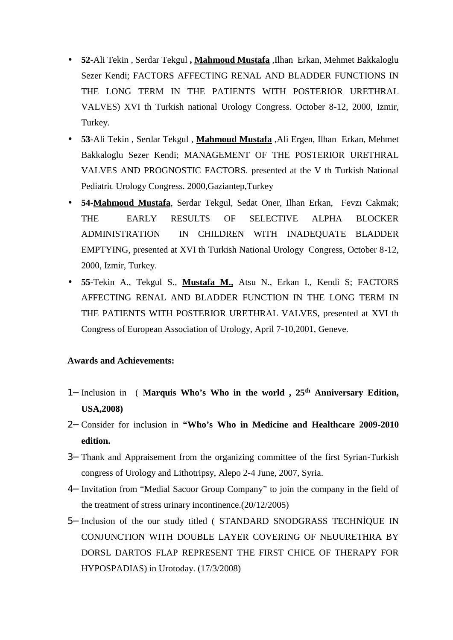- **52**-Ali Tekin , Serdar Tekgul **, Mahmoud Mustafa** ,Ilhan Erkan, Mehmet Bakkaloglu Sezer Kendi; FACTORS AFFECTING RENAL AND BLADDER FUNCTIONS IN THE LONG TERM IN THE PATIENTS WITH POSTERIOR URETHRAL VALVES) XVI th Turkish national Urology Congress. October 8-12, 2000, Izmir, Turkey.
- **53**-Ali Tekin , Serdar Tekgul , **Mahmoud Mustafa** ,Ali Ergen, Ilhan Erkan, Mehmet Bakkaloglu Sezer Kendi; MANAGEMENT OF THE POSTERIOR URETHRAL VALVES AND PROGNOSTIC FACTORS. presented at the V th Turkish National Pediatric Urology Congress. 2000,Gaziantep,Turkey
- **54-Mahmoud Mustafa**, Serdar Tekgul, Sedat Oner, Ilhan Erkan, Fevzı Cakmak; THE EARLY RESULTS OF SELECTIVE ALPHA BLOCKER ADMINISTRATION IN CHILDREN WITH INADEQUATE BLADDER EMPTYING, presented at XVI th Turkish National Urology Congress, October 8-12, 2000, Izmir, Turkey.
- **55**-Tekin A., Tekgul S., **Mustafa M.,** Atsu N., Erkan I., Kendi S; FACTORS AFFECTING RENAL AND BLADDER FUNCTION IN THE LONG TERM IN THE PATIENTS WITH POSTERIOR URETHRAL VALVES, presented at XVI th Congress of European Association of Urology, April 7-10,2001, Geneve.

## **Awards and Achievements:**

- Inclusion in ( **Marquis Who's Who in the world , 25th Anniversary Edition, USA,2008)**
- Consider for inclusion in **"Who's Who in Medicine and Healthcare 2009-2010 edition.**
- Thank and Appraisement from the organizing committee of the first Syrian-Turkish congress of Urology and Lithotripsy, Alepo 2-4 June, 2007, Syria.
- Invitation from "Medial Sacoor Group Company" to join the company in the field of the treatment of stress urinary incontinence.(20/12/2005)
- 5– Inclusion of the our study titled ( STANDARD SNODGRASS TECHN QUE IN CONJUNCTION WITH DOUBLE LAYER COVERING OF NEUURETHRA BY DORSL DARTOS FLAP REPRESENT THE FIRST CHICE OF THERAPY FOR HYPOSPADIAS) in Urotoday. (17/3/2008)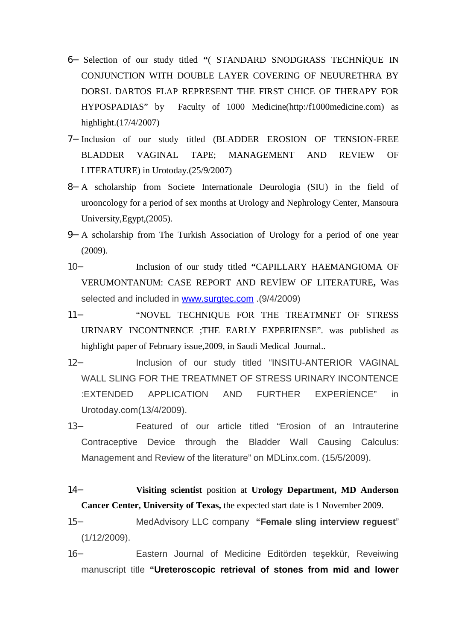- 6- Selection of our study titled "( STANDARD SNODGRASS TECHN QUE IN CONJUNCTION WITH DOUBLE LAYER COVERING OF NEUURETHRA BY DORSL DARTOS FLAP REPRESENT THE FIRST CHICE OF THERAPY FOR HYPOSPADIAS" by Faculty of 1000 Medicine(http:/f1000medicine.com) as highlight.(17/4/2007)
- Inclusion of our study titled (BLADDER EROSION OF TENSION-FREE BLADDER VAGINAL TAPE; MANAGEMENT AND REVIEW OF LITERATURE) in Urotoday.(25/9/2007)
- A scholarship from Societe Internationale Deurologia (SIU) in the field of urooncology for a period of sex months at Urology and Nephrology Center, Mansoura University,Egypt,(2005).
- A scholarship from The Turkish Association of Urology for a period of one year (2009).
- Inclusion of our study titled **"**CAPILLARY HAEMANGIOMA OF VERUMONTANUM: CASE REPORT AND REV EW OF LITERATURE, Was selected and included in www.surgtec.com .(9/4/2009)
- "NOVEL TECHNIQUE FOR THE TREATMNET OF STRESS URINARY INCONTNENCE ;THE EARLY EXPERIENSE". was published as highlight paper of February issue,2009, in Saudi Medical Journal..
- Inclusion of our study titled "INSITU-ANTERIOR VAGINAL WALL SLING FOR THE TREATMNET OF STRESS URINARY INCONTENCE :EXTENDED APPLICATION AND FURTHER EXPERENCE" in Urotoday.com(13/4/2009).
- Featured of our article titled "Erosion of an Intrauterine Contraceptive Device through the Bladder Wall Causing Calculus: Management and Review of the literature" on MDLinx.com. (15/5/2009).
- **Visiting scientist** position at **Urology Department, MD Anderson Cancer Center, University of Texas,** the expected start date is 1 November 2009.
- MedAdvisory LLC company **"Female sling interview reguest**" (1/12/2009).
- 16- Eastern Journal of Medicine Editörden te ekkür, Reveiwing manuscript title **"Ureteroscopic retrieval of stones from mid and lower**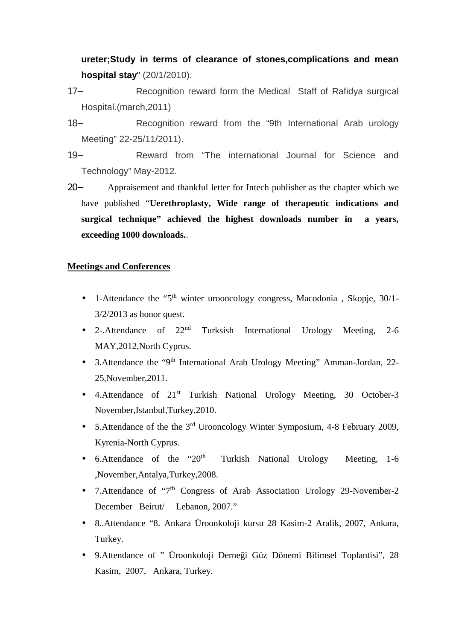**ureter;Study in terms of clearance of stones,complications and mean hospital stay**" (20/1/2010).

- Recognition reward form the Medical Staff of Rafidya surgıcal Hospital.(march,2011)
- Recognition reward from the "9th International Arab urology Meeting" 22-25/11/2011).
- Reward from "The international Journal for Science and Technology" May-2012.
- Appraisement and thankful letter for Intech publisher as the chapter which we have published "**Uerethroplasty, Wide range of therapeutic indications and surgical technique" achieved the highest downloads number in a years, exceeding 1000 downloads.**.

## **Meetings and Conferences**

- 1-Attendance the "5<sup>th</sup> winter urooncology congress, Macodonia, Skopje, 30/1-3/2/2013 as honor quest.
- 2-.Attendance of  $22<sup>nd</sup>$  Turksish International Urology Meeting, 2-6 MAY,2012,North Cyprus.
- 3.Attendance the "9<sup>th</sup> International Arab Urology Meeting" Amman-Jordan, 22-25,November,2011.
- 4.Attendance of 21<sup>st</sup> Turkish National Urology Meeting, 30 October-3 November,Istanbul,Turkey,2010.
- 5.Attendance of the the 3<sup>rd</sup> Urooncology Winter Symposium, 4-8 February 2009, Kyrenia-North Cyprus.
- 6.Attendance of the "20<sup>th</sup> Turkish National Urology Meeting, 1-6 ,November,Antalya,Turkey,2008.
- 7.Attendance of "7<sup>th</sup> Congress of Arab Association Urology 29-November-2 December Beirut/ Lebanon, 2007."
- 8..Attendance "8. Ankara Üroonkoloji kursu 28 Kasim-2 Aralik, 2007, Ankara, Turkey.
- 9.Attendance of " Üroonkoloji Derneği Güz Dönemi Bilimsel Toplantisi", 28 Kasim, 2007, Ankara, Turkey.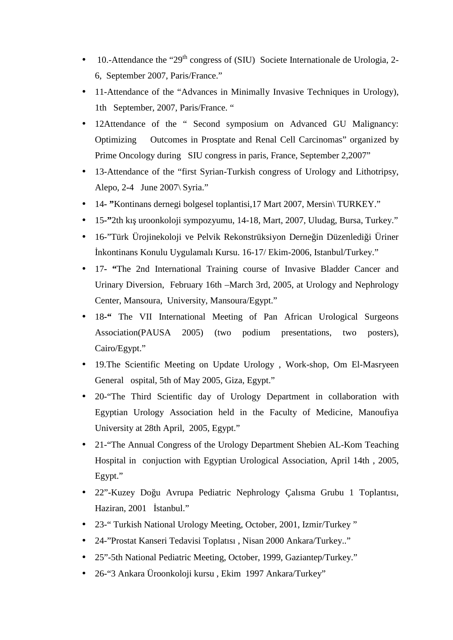- $\bullet$  10.-Attendance the "29<sup>th</sup> congress of (SIU) Societe Internationale de Urologia, 2-6, September 2007, Paris/France."
- 11-Attendance of the "Advances in Minimally Invasive Techniques in Urology), 1th September, 2007, Paris/France. "
- 12Attendance of the " Second symposium on Advanced GU Malignancy: Optimizing Outcomes in Prosptate and Renal Cell Carcinomas" organized by Prime Oncology during SIU congress in paris, France, September 2,2007"
- 13-Attendance of the "first Syrian-Turkish congress of Urology and Lithotripsy, Alepo, 2**-**4 June 2007\ Syria."
- 14**- "**Kontinans dernegi bolgesel toplantisi,17 Mart 2007, Mersin\ TURKEY."
- 15**-"**2th kış uroonkoloji sympozyumu, 14-18, Mart, 2007, Uludag, Bursa, Turkey."
- 16-"Türk Ürojinekoloji ve Pelvik Rekonstrüksiyon Derne in Düzenledi i Üriner İnkontinans Konulu Uygulamalı Kursu. 16-17/ Ekim-2006, Istanbul/Turkey."
- 17**- "**The 2nd International Training course of Invasive Bladder Cancer and Urinary Diversion, February 16th –March 3rd, 2005, at Urology and Nephrology Center, Mansoura, University, Mansoura/Egypt."
- 18<sup>-4</sup> The VII International Meeting of Pan African Urological Surgeons Association(PAUSA 2005) (two podium presentations, two posters), Cairo/Egypt."
- 19.The Scientific Meeting on Update Urology , Work-shop, Om El-Masryeen General ospital, 5th of May 2005, Giza, Egypt."
- 20-"The Third Scientific day of Urology Department in collaboration with Egyptian Urology Association held in the Faculty of Medicine, Manoufiya University at 28th April, 2005, Egypt."
- 21-"The Annual Congress of the Urology Department Shebien AL-Kom Teaching Hospital in conjuction with Egyptian Urological Association, April 14th , 2005, Egypt."
- 22"-Kuzey Doğu Avrupa Pediatric Nephrology Çalısma Grubu 1 Toplantısı, Haziran, 2001 stanbul."
- 23-" Turkish National Urology Meeting, October, 2001, Izmir/Turkey "
- 24-"Prostat Kanseri Tedavisi Toplatısı , Nisan 2000 Ankara/Turkey.."
- 25"-5th National Pediatric Meeting, October, 1999, Gaziantep/Turkey."
- 26-"3 Ankara Üroonkoloji kursu , Ekim 1997 Ankara/Turkey"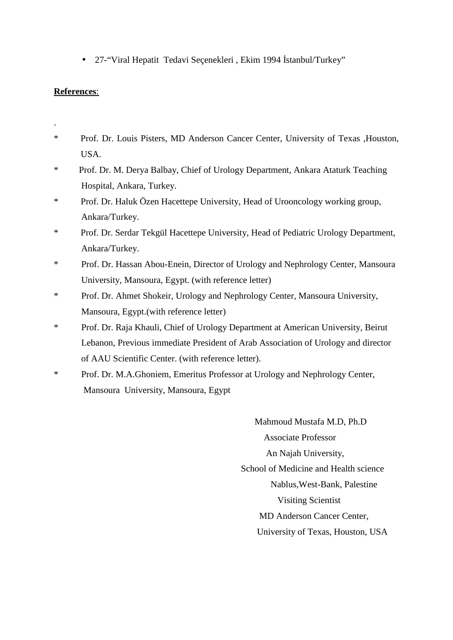• 27-"Viral Hepatit Tedavi Seçenekleri, Ekim 1994 stanbul/Turkey"

# **References**:

- .\* Prof. Dr. Louis Pisters, MD Anderson Cancer Center, University of Texas ,Houston, USA.
- \* Prof. Dr. M. Derya Balbay, Chief of Urology Department, Ankara Ataturk Teaching Hospital, Ankara, Turkey.
- \* Prof. Dr. Haluk Özen Hacettepe University, Head of Urooncology working group, Ankara/Turkey.
- \* Prof. Dr. Serdar Tekgül Hacettepe University, Head of Pediatric Urology Department, Ankara/Turkey.
- \* Prof. Dr. Hassan Abou-Enein, Director of Urology and Nephrology Center, Mansoura University, Mansoura, Egypt. (with reference letter)
- \* Prof. Dr. Ahmet Shokeir, Urology and Nephrology Center, Mansoura University, Mansoura, Egypt.(with reference letter)
- \* Prof. Dr. Raja Khauli, Chief of Urology Department at American University, Beirut Lebanon, Previous immediate President of Arab Association of Urology and director of AAU Scientific Center. (with reference letter).
- \* Prof. Dr. M.A.Ghoniem, Emeritus Professor at Urology and Nephrology Center, Mansoura University, Mansoura, Egypt

Mahmoud Mustafa M.D, Ph.D Associate Professor An Najah University, School of Medicine and Health science Nablus,West-Bank, Palestine Visiting Scientist MD Anderson Cancer Center, University of Texas, Houston, USA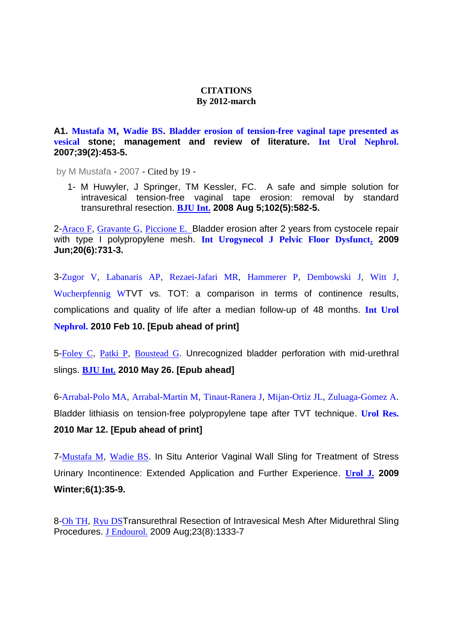#### **CITATIONS By 2012-march**

**A1. Mustafa M, Wadie BS. Bladder erosion of tension-free vaginal tape presented as vesical stone; management and review of literature. Int Urol Nephrol. 2007;39(2):453-5.**

by M Mustafa - 2007 - Cited by 19 -

1- M Huwyler, J Springer, TM Kessler, FC. A safe and simple solution for intravesical tension-free vaginal tape erosion: removal by standard transurethral resection. **BJU Int. 2008 Aug 5;102(5):582-5.**

2-Araco F, Gravante G, Piccione E. Bladder erosion after 2 years from cystocele repair with type I polypropylene mesh. **Int Urogynecol J Pelvic Floor Dysfunct. 2009 Jun;20(6):731-3.**

3-Zugor V, Labanaris AP, Rezaei-Jafari MR, Hammerer P, Dembowski J, Witt J, Wucherpfennig WTVT vs. TOT: a comparison in terms of continence results, complications and quality of life after a median follow-up of 48 months. **Int Urol Nephrol. 2010 Feb 10. [Epub ahead of print]**

5-Foley C, Patki P, Boustead G. Unrecognized bladder perforation with mid‐urethral slings. **BJU Int. 2010 May 26. [Epub ahead]**

6-Arrabal-Polo MA, Arrabal-Martin M, Tinaut-Ranera J, Mijan-Ortiz JL, Zuluaga-Gomez A. Bladder lithiasis on tension-free polypropylene tape after TVT technique. **Urol Res. 2010 Mar 12. [Epub ahead of print]**

7-Mustafa M, Wadie BS. In Situ Anterior Vaginal Wall Sling for Treatment of Stress Urinary Incontinence: Extended Application and Further Experience. **Urol J. 2009 Winter;6(1):35-9.**

8-Oh TH, Ryu DSTransurethral Resection of Intravesical Mesh After Midurethral Sling Procedures. J Endourol. 2009 Aug;23(8):1333-7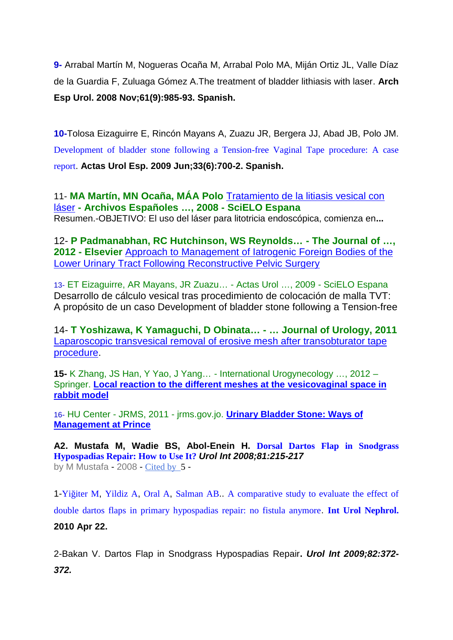**9-** Arrabal Martín M, Nogueras Ocaña M, Arrabal Polo MA, Miján Ortiz JL, Valle Díaz de la Guardia F, Zuluaga Gómez A.The treatment of bladder lithiasis with laser. **Arch Esp Urol. 2008 Nov;61(9):985-93. Spanish.**

**10-**Tolosa Eizaguirre E, Rincón Mayans A, Zuazu JR, Bergera JJ, Abad JB, Polo JM. Development of bladder stone following a Tension-free Vaginal Tape procedure: A case report. **Actas Urol Esp. 2009 Jun;33(6):700-2. Spanish.**

11- **MA Martín, MN Ocaña, MÁA Polo** Tratamiento de la litiasis vesical con láser **- Archivos Españoles …, 2008 - SciELO Espana** Resumen.-OBJETIVO: El uso del láser para litotricia endoscópica, comienza en**...**

12- **P Padmanabhan, RC Hutchinson, WS Reynolds… - The Journal of …, 2012 - Elsevier** Approach to Management of Iatrogenic Foreign Bodies of the Lower Urinary Tract Following Reconstructive Pelvic Surgery

13- ET Eizaguirre, AR Mayans, JR Zuazu… - Actas Urol …, 2009 - SciELO Espana Desarrollo de cálculo vesical tras procedimiento de colocación de malla TVT: A propósito de un caso Development of bladder stone following a Tension-free

14- **T Yoshizawa, K Yamaguchi, D Obinata… - … Journal of Urology, 2011** Laparoscopic transvesical removal of erosive mesh after transobturator tape procedure.

**15-** K Zhang, JS Han, Y Yao, J Yang… - International Urogynecology …, 2012 – Springer. **Local reaction to the different meshes at the vesicovaginal space in rabbit model**

16- HU Center - JRMS, 2011 - jrms.gov.jo. **Urinary Bladder Stone: Ways of Management at Prince**

**A2. Mustafa M, Wadie BS, Abol-Enein H. Dorsal Dartos Flap in Snodgrass Hypospadias Repair: How to Use It?** *Urol Int 2008;81:215-217* by M Mustafa - 2008 - Cited by 5 -

1-Yi iter M, Yildiz A, Oral A, Salman AB.. A comparative study to evaluate the effect of double dartos flaps in primary hypospadias repair: no fistula anymore. **Int Urol Nephrol. 2010 Apr 22.**

2-Bakan V. Dartos Flap in Snodgrass Hypospadias Repair**.** *Urol Int 2009;82:372- 372.*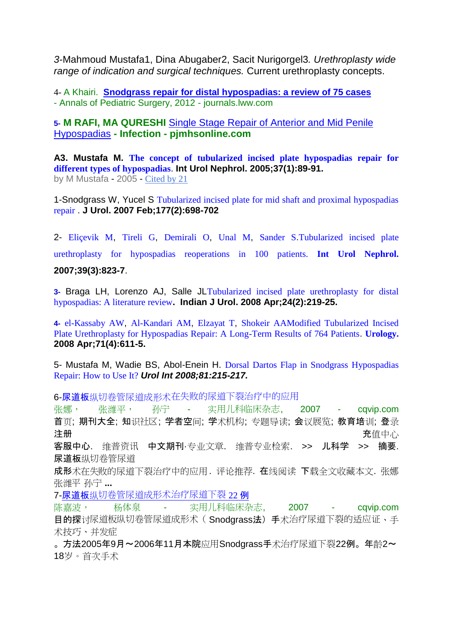*3-*Mahmoud Mustafa1, Dina Abugaber2, Sacit Nurigorgel3*. Urethroplasty wide range of indication and surgical techniques.* Current urethroplasty concepts.

4- A Khairi. **Snodgrass repair for distal hypospadias: a review of 75 cases** - Annals of Pediatric Surgery, 2012 - journals.lww.com

**5- M RAFI, MA QURESHI** Single Stage Repair of Anterior and Mid Penile Hypospadias **- Infection - pjmhsonline.com**

**A3. Mustafa M. The concept of tubularized incised plate hypospadias repair for different types of hypospadias**. **Int Urol Nephrol. 2005;37(1):89-91.** by M Mustafa - 2005 - Cited by 21

1-Snodgrass W, Yucel S Tubularized incised plate for mid shaft and proximal hypospadias repair . **J Urol. 2007 Feb;177(2):698-702**

2- Eliçevik M, Tireli G, Demirali O, Unal M, Sander S.Tubularized incised plate urethroplasty for hypospadias reoperations in 100 patients. **Int Urol Nephrol. 2007;39(3):823-7**.

**3-** Braga LH, Lorenzo AJ, Salle JLTubularized incised plate urethroplasty for distal hypospadias: A literature review**. Indian J Urol. 2008 Apr;24(2):219-25.**

**4-** el-Kassaby AW, Al-Kandari AM, Elzayat T, Shokeir AAModified Tubularized Incised Plate Urethroplasty for Hypospadias Repair: A Long-Term Results of 764 Patients. **Urology. 2008 Apr;71(4):611-5.**

5- Mustafa M, Wadie BS, Abol-Enein H. Dorsal Dartos Flap in Snodgrass Hypospadias Repair: How to Use It? *Urol Int 2008;81:215-217.*

6-尿道板纵切卷管尿道成形术在失败的尿道下裂治疗中的应用

张娜, 张潍平, 孙宁 - 实用儿科临床杂志, 2007 - cqvip.com 首页; 期刊大全; 知识社区; 学者空间; 学术机构; 专题导读; 会议展览; 教育培训; 登录 注册 アンチュー アンディスク こうしょう こうしょう こうしょう こうしょう うちのみ 充値中心 こうしょうかい こうしょうかい こうしょうかい こうしょうかい こうしょう 客服中心. 维普资讯 中文期刊·专业文章. 维普专业检索. >> 儿科学 >> 摘要. 尿道板纵切卷管尿道 成形术在失败的尿道下裂治疗中的应用. 评论推荐. 在线阅读 下载全文收藏本文. 张娜 张潍平 孙宁 **...** 7-尿道板纵切卷管尿道成形术治疗尿道下裂 22 例 陈嘉波, 杨体泉 - 实用儿科临床杂志, 2007 - cqvip.com

**目的探**讨尿道板纵切卷管尿道成形术(Snodarass法)手术治疗尿道下裂的适应证、手 术技巧、并发症

。方法2005年9月~2006年11月本院应用Snodgrass手术治疗尿道下裂22例。年龄2~ 18岁。首次手术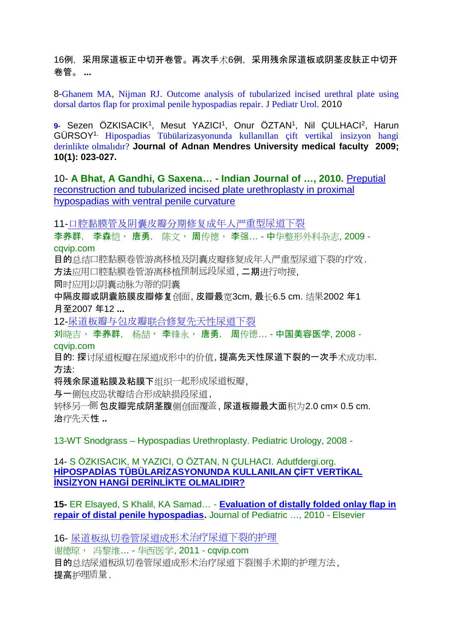16例,采用尿道板正中切开卷管。再次手术6例,采用残余尿道板或阴茎皮肤正中切开 卷管。 **...**

8-Ghanem MA, Nijman RJ. Outcome analysis of tubularized incised urethral plate using dorsal dartos flap for proximal penile hypospadias repair. J Pediatr Urol. 2010

9- Sezen ÖZKISACIK<sup>1</sup>, Mesut YAZICI<sup>1</sup>, Onur ÖZTAN<sup>1</sup>, Nil ÇULHACI<sup>2</sup>, Harun GÜRSOY1. Hipospadias Tübülarizasyonunda kullanıllan çift vertikal insizyon hangi derinlikte olmalıdır? **Journal of Adnan Mendres University medical faculty 2009; 10(1): 023-027.**

10- **A Bhat, A Gandhi, G Saxena… - Indian Journal of …, 2010.** Preputial reconstruction and tubularized incised plate urethroplasty in proximal hypospadias with ventral penile curvature

11-口腔黏膜管及阴囊皮瓣分期修复成年人严重型尿道下裂

李养群, 李森恺, 唐勇, 陈文, 周传德, 李强… - 中华整形外科杂志, 2009 cqvip.com

目的总结口腔黏膜卷管游离移植及阴囊皮瓣修复成年人严重型尿道下裂的疗效. 方法应用口腔黏膜卷管游离移植预制远段尿道, 二期进行吻接,

同时应用以阴囊动脉为蒂的阴囊

中隔皮瓣或阴囊筋膜皮瓣修复创面, 皮瓣最宽3cm, 最长6.5 cm. 结果2002 年1 月至2007 年12 **...**

12-尿道板瓣与包皮瓣联合修复先天性尿道下裂

刘晓吉, 李养群, 杨喆, 李锋永, 唐勇, 周传德... - 中国美容医学, 2008 cqvip.com

目的: 探讨尿道板瓣在尿道成形中的价值, 提高先天性尿道下裂的一次手术成功率. 方法:

将残余尿道粘膜及粘膜下组织一起形成尿道板瓣,

与一侧包皮岛状瓣结合形成缺损段尿道,

转移另一侧包皮瓣完成阴茎腹侧创面覆盖, 尿道板瓣最大面积为2.0 cm× 0.5 cm. 治疗先天性 **..**

13-WT Snodgrass – Hypospadias Urethroplasty. Pediatric Urology, 2008 -

## 14- S ÖZKISACIK, M YAZICI, O ÖZTAN, N ÇULHACI. Adutfdergi.org. **H POSPAD AS TÜBÜLAR ZASYONUNDA KULLANILAN Ç FT VERT KAL INS ZYON HANG DER NL KTE OLMALIDIR?**

**15-** ER Elsayed, S Khalil, KA Samad… - **Evaluation of distally folded onlay flap in repair of distal penile hypospadias.** Journal of Pediatric …, 2010 - Elsevier

16- 尿道板纵切卷管尿道成形术治疗尿道下裂的护理

谢德琼, 冯黎维… - 华西医学, 2011 - cqvip.com 目的总结尿道板纵切卷管尿道成形术治疗尿道下裂围手术期的护理方法, 提高护理质量.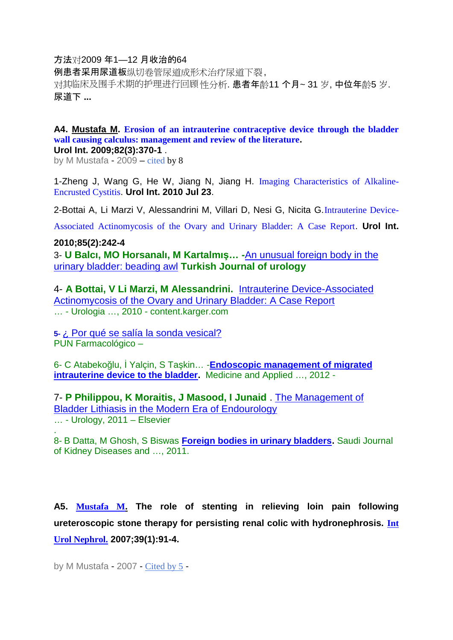## 方法对2009 年1—12 月收治的64

例患者采用尿道板纵切卷管尿道成形术治疗尿道下裂, 对其临床及围手术期的护理进行回顾性分析. 患者年龄11 个月~ 31 岁, 中位年龄5 岁. 尿道下 **...**

#### **A4. Mustafa M. Erosion of an intrauterine contraceptive device through the bladder wall causing calculus: management and review of the literature. Urol Int. 2009;82(3):370-1** .

by M Mustafa - 2009 – cited by 8

1-Zheng J, Wang G, He W, Jiang N, Jiang H. Imaging Characteristics of Alkaline- Encrusted Cystitis. **Urol Int. 2010 Jul 23**.

2-Bottai A, Li Marzi V, Alessandrini M, Villari D, Nesi G, Nicita G.Intrauterine Device-

Associated Actinomycosis of the Ovary and Urinary Bladder: A Case Report. **Urol Int.**

#### **2010;85(2):242-4**

3- **U Balcı, MO Horsanalı, M Kartalmış… -**An unusual foreign body in the urinary bladder: beading awl **Turkish Journal of urology**

4- **A Bottai, V Li Marzi, M Alessandrini.** Intrauterine Device-Associated Actinomycosis of the Ovary and Urinary Bladder: A Case Report … - Urologia …, 2010 - content.karger.com

**5-** ¿ Por qué se salía la sonda vesical? PUN Farmacológico –

6- C Atabekoğlu, İ Yalçin, S Taşkin… -**Endoscopic management of migrated intrauterine device to the bladder.** Medicine and Applied …, 2012 -

7- **P Philippou, K Moraitis, J Masood, I Junaid** . The Management of Bladder Lithiasis in the Modern Era of Endourology … - Urology, 2011 – Elsevier

.8- B Datta, M Ghosh, S Biswas **Foreign bodies in urinary bladders.** Saudi Journal of Kidney Diseases and …, 2011.

**A5. Mustafa M. The role of stenting in relieving loin pain following ureteroscopic stone therapy for persisting renal colic with hydronephrosis. Int Urol Nephrol. 2007;39(1):91-4.**

by M Mustafa - 2007 - Cited by 5 -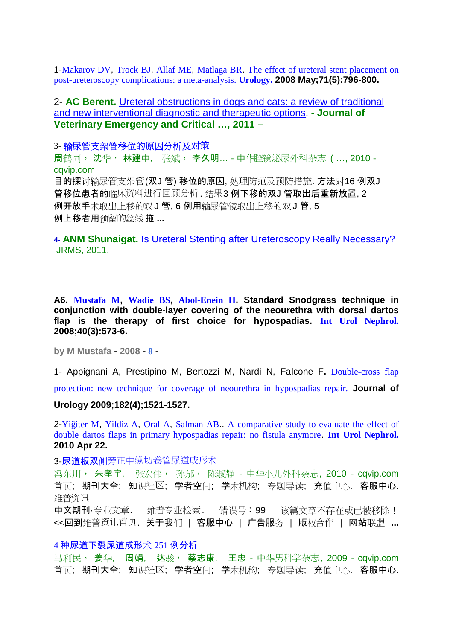1-Makarov DV, Trock BJ, Allaf ME, Matlaga BR. The effect of ureteral stent placement on post-ureteroscopy complications: a meta-analysis. **Urology. 2008 May;71(5):796-800.**

2- **AC Berent.** Ureteral obstructions in dogs and cats: a review of traditional and new interventional diagnostic and therapeutic options. **- Journal of Veterinary Emergency and Critical …, 2011 –**

3- **输尿管支架管移位的原因分析及对策**

周鹤同, 沈华, 林建中, 张斌, 李久明… -中华腔镜泌尿外科杂志 ( …, 2010 cqvip.com 目的探讨输尿管支架管(双J 管) 移位的原因, 处理防范及预防措施. 方法对16 例双J 管移位患者的临床资料进行回顾分析. 结果3 例下移的双J 管取出后重新放置, 2 例开放手术取出上移的双J 管, 6 例用输尿管镜取出上移的双J 管, 5 例上移者用预留的丝线拖 **...**

**4- ANM Shunaigat.** Is Ureteral Stenting after Ureteroscopy Really Necessary? JRMS, 2011.

**A6. Mustafa M, Wadie BS, Abol-Enein H. Standard Snodgrass technique in conjunction with double-layer covering of the neourethra with dorsal dartos flap is the therapy of first choice for hypospadias. Int Urol Nephrol. 2008;40(3):573-6.**

**by M Mustafa - 2008 - 8 -**

1- Appignani A, Prestipino M, Bertozzi M, Nardi N, Falcone F**.** Double-cross flap

protection: new technique for coverage of neourethra in hypospadias repair. **Journal of**

#### **Urology 2009;182(4);1521-1527.**

2-Yi iter M, Yildiz A, Oral A, Salman AB.. A comparative study to evaluate the effect of double dartos flaps in primary hypospadias repair: no fistula anymore. **Int Urol Nephrol. 2010 Apr 22.**

3-尿道板双侧旁正中纵切卷管尿道成形术

冯东川, 朱孝宇, 张宏伟, 孙邡, 陈淑静 - 中华小儿外科杂志, 2010 - cqvip.com 首页; 期刊大全; 知识社区; 学者空间; 学术机构; 专题导读; 充值中心. 客服中心. 维普资讯

中文期刊·专业文章. 维普专业检索. 错误号:99 该篇文章不存在或已被移除! <<回到维普资讯首页. 关于我们 | 客服中心 | 广告服务 | 版权合作 | 网站联盟 **...**

#### 4 种尿道下裂尿道成形术 251 例分析

马利民, 姜华, 周娟, 达骏, 蔡志康, 王忠 - 中华男科学杂志, 2009 - cqvip.com 首页; 期刊大全; 知识社区; 学者空间; 学术机构; 专题导读; 充值中心. 客服中心.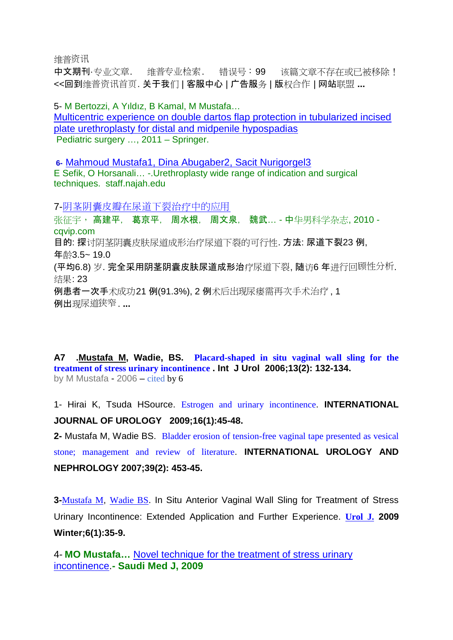维普资讯

中文期刊·专业文章. 维普专业检索. 错误号: 99 该篇文章不存在或已被移除! <<回到维普资讯首页. 关于我们 | 客服中心 |广告服务 | 版权合作 | 网站联盟 **...**

5- M Bertozzi, A Yıldız, B Kamal, M Mustafa… Multicentric experience on double dartos flap protection in tubularized incised plate urethroplasty for distal and midpenile hypospadias Pediatric surgery …, 2011 – Springer.

**6-** Mahmoud Mustafa1, Dina Abugaber2, Sacit Nurigorgel3 E Sefik, O Horsanali… -.Urethroplasty wide range of indication and surgical techniques. staff.najah.edu

7-阴茎阴囊皮瓣在尿道下裂治疗中的应用

张征宇, 高建平, 葛京平, 周水根, 周文泉, 魏武... - 中华男科学杂志, 2010 cqvip.com 目的: 探讨阴茎阴囊皮肤尿道成形治疗尿道下裂的可行性. 方法: 尿道下裂23 例, 年龄3.5~ 19.0 (平均6.8) 岁. 完全采用阴茎阴囊皮肤尿道成形治疗尿道下裂, 随访6 年进行回顾性分析. 结果: 23 例患者一次手术成功21 例(91.3%), 2 例术后出现尿瘘需再次手术治疗 , 1 例出现尿道狭窄. **...**

**A7 .Mustafa M, Wadie, BS. Placard-shaped in situ vaginal wall sling for the treatment of stress urinary incontinence . Int J Urol 2006;13(2): 132-134.** by M Mustafa - 2006 – cited by 6

1- Hirai K, Tsuda HSource. Estrogen and urinary incontinence. **INTERNATIONAL JOURNAL OF UROLOGY 2009;16(1):45-48.**

**2-** Mustafa M, Wadie BS. Bladder erosion of tension-free vaginal tape presented as vesical

stone; management and review of literature. **INTERNATIONAL UROLOGY AND NEPHROLOGY 2007;39(2): 453-45.**

**3-**Mustafa M, Wadie BS. In Situ Anterior Vaginal Wall Sling for Treatment of Stress Urinary Incontinence: Extended Application and Further Experience. **Urol J. 2009 Winter;6(1):35-9.**

4- **MO Mustafa…** Novel technique for the treatment of stress urinary incontinence.**- Saudi Med J, 2009**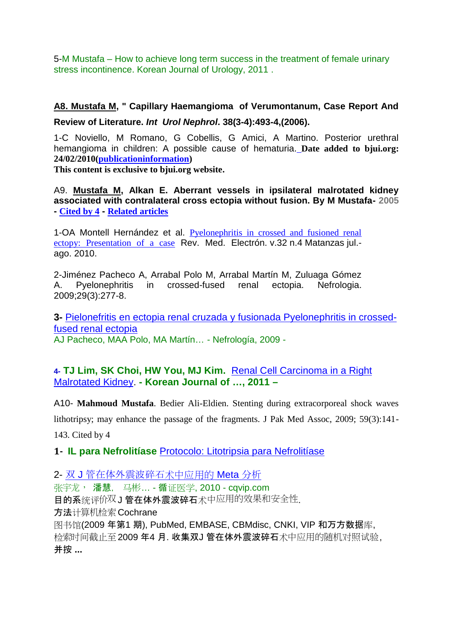5-M Mustafa – How to achieve long term success in the treatment of female urinary stress incontinence. Korean Journal of Urology, 2011 .

# **A8. Mustafa M, " Capillary Haemangioma of Verumontanum, Case Report And Review of Literature.** *Int Urol Nephrol***. 38(3-4):493-4,(2006).**

1-C Noviello, M Romano, G Cobellis, G Amici, A Martino. Posterior urethral hemangioma in children: A possible cause of hematuria. **Date added to bjui.org: 24/02/2010(publicationinformation)**

**This content is exclusive to bjui.org website.**

A9. **Mustafa M, Alkan E. Aberrant vessels in ipsilateral malrotated kidney associated with contralateral cross ectopia without fusion. By M Mustafa- 2005 - Cited by 4 - Related articles**

1-OA Montell Hernández et al. Pyelonephritis in crossed and fusioned renal ectopy: Presentation of a case Rev. Med. Electrón. v.32 n.4 Matanzas jul. ago. 2010.

2-Jiménez Pacheco A, Arrabal Polo M, Arrabal Martín M, Zuluaga Gómez A. Pyelonephritis in crossed-fused renal ectopia. Nefrologia. 2009;29(3):277-8.

**3-** Pielonefritis en ectopia renal cruzada y fusionada Pyelonephritis in crossedfused renal ectopia AJ Pacheco, MAA Polo, MA Martín… - Nefrología, 2009 -

**4- TJ Lim, SK Choi, HW You, MJ Kim.** Renal Cell Carcinoma in a Right Malrotated Kidney. **- Korean Journal of …, 2011 –**

A10- **Mahmoud Mustafa**. Bedier Ali-Eldien. Stenting during extracorporeal shock waves lithotripsy; may enhance the passage of the fragments. J Pak Med Assoc, 2009; 59(3):141- 143. Cited by 4

**1- IL para Nefrolitíase** Protocolo: Litotripsia para Nefrolitíase

2- 双 J 管在体外震波碎石术中应用的 Meta 分析 张宇龙, 潘慧, 马彬… - 循证医学, 2010 - cqvip.com 目的系统评价双J 管在体外震波碎石术中应用的效果和安全性. 方法计算机检索Cochrane 图书馆(2009 年第1 期), PubMed, EMBASE, CBMdisc, CNKI, VIP 和万方数据库, 检索时间截止至2009 年4 月. 收集双J 管在体外震波碎石术中应用的随机对照试验, 并按 **...**